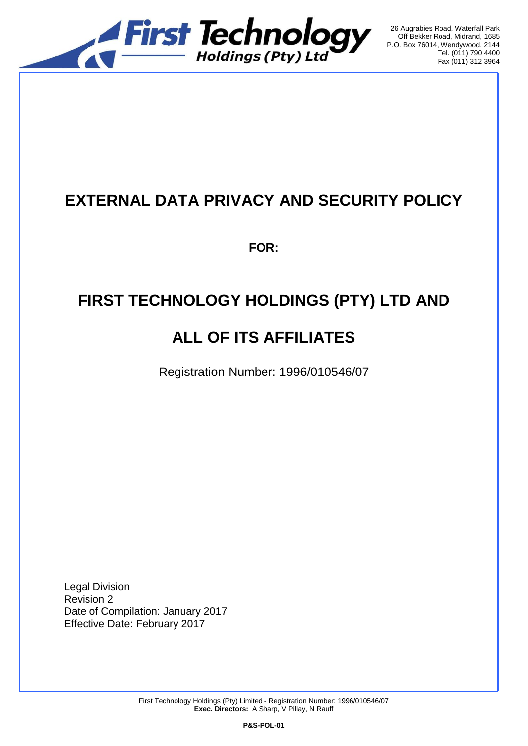

26 Augrabies Road, Waterfall Park Off Bekker Road, Midrand, 1685 P.O. Box 76014, Wendywood, 2144 Tel. (011) 790 4400 Fax (011) 312 3964

## **EXTERNAL DATA PRIVACY AND SECURITY POLICY**

**FOR:**

# **FIRST TECHNOLOGY HOLDINGS (PTY) LTD AND**

# **ALL OF ITS AFFILIATES**

Registration Number: 1996/010546/07

Legal Division Revision 2 Date of Compilation: January 2017 Effective Date: February 2017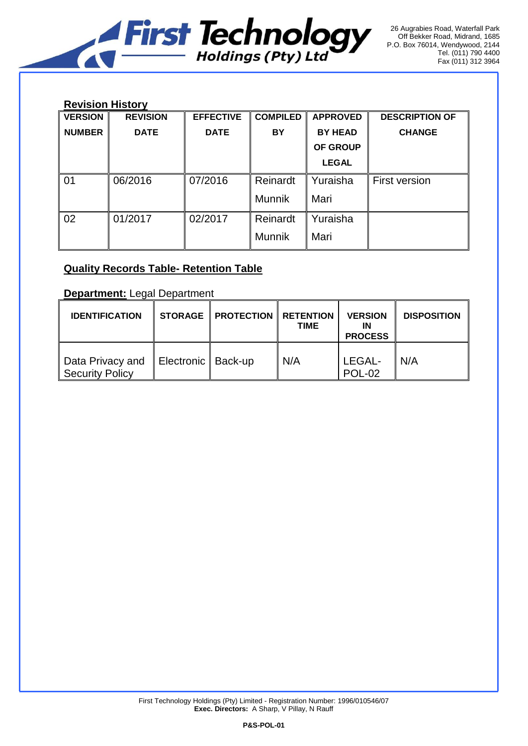

### **Revision History**

| <b>VERSION</b> | <b>REVISION</b> | <b>EFFECTIVE</b> | <b>COMPILED</b> | <b>APPROVED</b> | <b>DESCRIPTION OF</b> |  |  |  |  |
|----------------|-----------------|------------------|-----------------|-----------------|-----------------------|--|--|--|--|
| <b>NUMBER</b>  | <b>DATE</b>     | <b>DATE</b>      | <b>BY</b>       | <b>BY HEAD</b>  | <b>CHANGE</b>         |  |  |  |  |
|                |                 |                  |                 | OF GROUP        |                       |  |  |  |  |
|                |                 |                  |                 | <b>LEGAL</b>    |                       |  |  |  |  |
| 01             | 06/2016         | 07/2016          | Reinardt        | Yuraisha        | <b>First version</b>  |  |  |  |  |
|                |                 |                  | <b>Munnik</b>   | Mari            |                       |  |  |  |  |
| 02             | 01/2017         | 02/2017          | Reinardt        | Yuraisha        |                       |  |  |  |  |
|                |                 |                  | <b>Munnik</b>   | Mari            |                       |  |  |  |  |

## **Quality Records Table- Retention Table**

**Department:** Legal Department

| <b>IDENTIFICATION</b>               |                      | <b>STORAGE   PROTECTION</b> | <b>RETENTION</b><br><b>TIME</b> | <b>VERSION</b><br>ΙN<br><b>PROCESS</b> | <b>DISPOSITION</b> |
|-------------------------------------|----------------------|-----------------------------|---------------------------------|----------------------------------------|--------------------|
| Data Privacy and<br>Security Policy | Electronic   Back-up |                             | N/A                             | LEGAL-<br><b>POL-02</b>                | N/A                |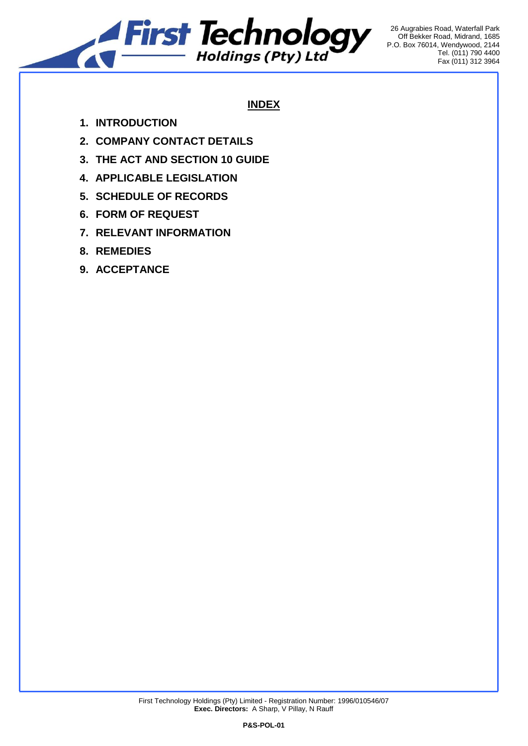

26 Augrabies Road, Waterfall Park Off Bekker Road, Midrand, 1685 P.O. Box 76014, Wendywood, 2144 Tel. (011) 790 4400 Fax (011) 312 3964

## **INDEX**

- **1. INTRODUCTION**
- **2. COMPANY CONTACT DETAILS**
- **3. THE ACT AND SECTION 10 GUIDE**
- **4. APPLICABLE LEGISLATION**
- **5. SCHEDULE OF RECORDS**
- **6. FORM OF REQUEST**
- **7. RELEVANT INFORMATION**
- **8. REMEDIES**
- **9. ACCEPTANCE**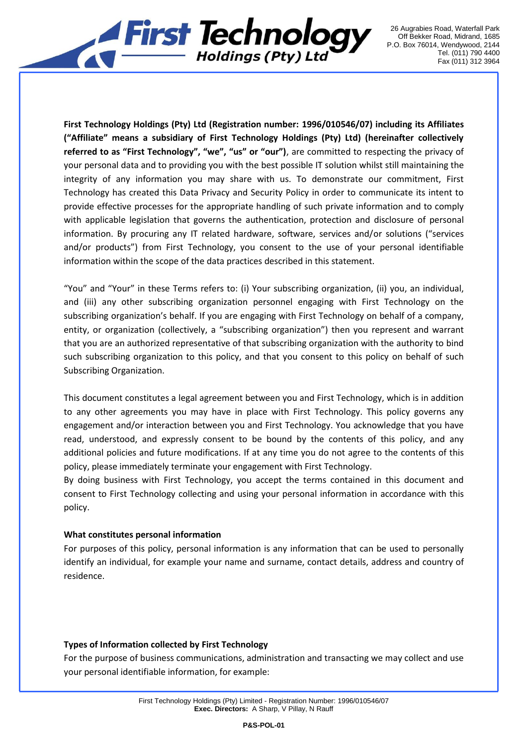

**First Technology Holdings (Pty) Ltd (Registration number: 1996/010546/07) including its Affiliates ("Affiliate" means a subsidiary of First Technology Holdings (Pty) Ltd) (hereinafter collectively referred to as "First Technology", "we", "us" or "our")**, are committed to respecting the privacy of your personal data and to providing you with the best possible IT solution whilst still maintaining the integrity of any information you may share with us. To demonstrate our commitment, First Technology has created this Data Privacy and Security Policy in order to communicate its intent to provide effective processes for the appropriate handling of such private information and to comply with applicable legislation that governs the authentication, protection and disclosure of personal information. By procuring any IT related hardware, software, services and/or solutions ("services and/or products") from First Technology, you consent to the use of your personal identifiable information within the scope of the data practices described in this statement.

"You" and "Your" in these Terms refers to: (i) Your subscribing organization, (ii) you, an individual, and (iii) any other subscribing organization personnel engaging with First Technology on the subscribing organization's behalf. If you are engaging with First Technology on behalf of a company, entity, or organization (collectively, a "subscribing organization") then you represent and warrant that you are an authorized representative of that subscribing organization with the authority to bind such subscribing organization to this policy, and that you consent to this policy on behalf of such Subscribing Organization.

This document constitutes a legal agreement between you and First Technology, which is in addition to any other agreements you may have in place with First Technology. This policy governs any engagement and/or interaction between you and First Technology. You acknowledge that you have read, understood, and expressly consent to be bound by the contents of this policy, and any additional policies and future modifications. If at any time you do not agree to the contents of this policy, please immediately terminate your engagement with First Technology.

By doing business with First Technology, you accept the terms contained in this document and consent to First Technology collecting and using your personal information in accordance with this policy.

#### **What constitutes personal information**

For purposes of this policy, personal information is any information that can be used to personally identify an individual, for example your name and surname, contact details, address and country of residence.

#### **Types of Information collected by First Technology**

For the purpose of business communications, administration and transacting we may collect and use your personal identifiable information, for example: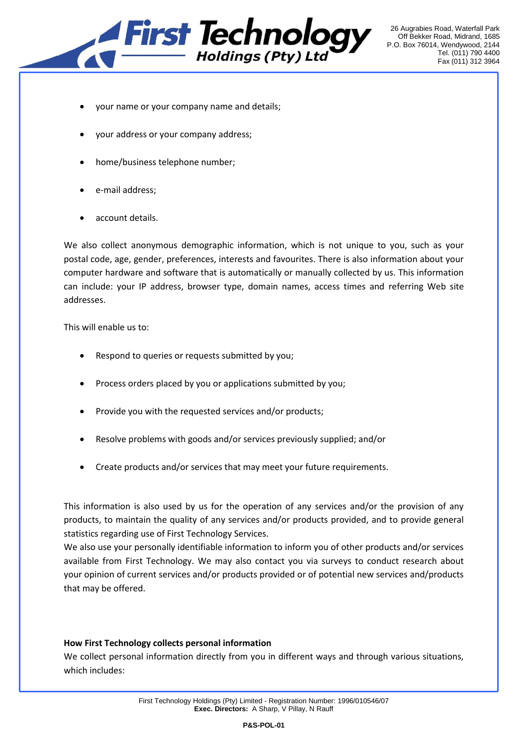

- your name or your company name and details;
- your address or your company address;
- home/business telephone number;
- e-mail address;
- account details.

We also collect anonymous demographic information, which is not unique to you, such as your postal code, age, gender, preferences, interests and favourites. There is also information about your computer hardware and software that is automatically or manually collected by us. This information can include: your IP address, browser type, domain names, access times and referring Web site addresses.

This will enable us to:

- Respond to queries or requests submitted by you;
- Process orders placed by you or applications submitted by you;
- Provide you with the requested services and/or products;
- Resolve problems with goods and/or services previously supplied; and/or
- Create products and/or services that may meet your future requirements.

This information is also used by us for the operation of any services and/or the provision of any products, to maintain the quality of any services and/or products provided, and to provide general statistics regarding use of First Technology Services.

We also use your personally identifiable information to inform you of other products and/or services available from First Technology. We may also contact you via surveys to conduct research about your opinion of current services and/or products provided or of potential new services and/products that may be offered.

#### **How First Technology collects personal information**

We collect personal information directly from you in different ways and through various situations, which includes: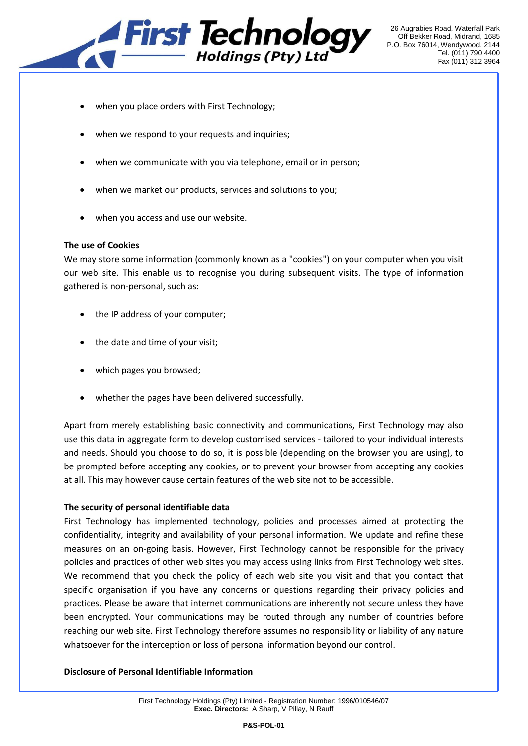

26 Augrabies Road, Waterfall Park Off Bekker Road, Midrand, 1685 P.O. Box 76014, Wendywood, 2144 Tel. (011) 790 4400 Fax (011) 312 3964

- when you place orders with First Technology;
- when we respond to your requests and inquiries;
- when we communicate with you via telephone, email or in person;
- when we market our products, services and solutions to you;
- when you access and use our website.

#### **The use of Cookies**

We may store some information (commonly known as a "cookies") on your computer when you visit our web site. This enable us to recognise you during subsequent visits. The type of information gathered is non-personal, such as:

- the IP address of your computer;
- the date and time of your visit;
- which pages you browsed;
- whether the pages have been delivered successfully.

Apart from merely establishing basic connectivity and communications, First Technology may also use this data in aggregate form to develop customised services - tailored to your individual interests and needs. Should you choose to do so, it is possible (depending on the browser you are using), to be prompted before accepting any cookies, or to prevent your browser from accepting any cookies at all. This may however cause certain features of the web site not to be accessible.

#### **The security of personal identifiable data**

First Technology has implemented technology, policies and processes aimed at protecting the confidentiality, integrity and availability of your personal information. We update and refine these measures on an on-going basis. However, First Technology cannot be responsible for the privacy policies and practices of other web sites you may access using links from First Technology web sites. We recommend that you check the policy of each web site you visit and that you contact that specific organisation if you have any concerns or questions regarding their privacy policies and practices. Please be aware that internet communications are inherently not secure unless they have been encrypted. Your communications may be routed through any number of countries before reaching our web site. First Technology therefore assumes no responsibility or liability of any nature whatsoever for the interception or loss of personal information beyond our control.

#### **Disclosure of Personal Identifiable Information**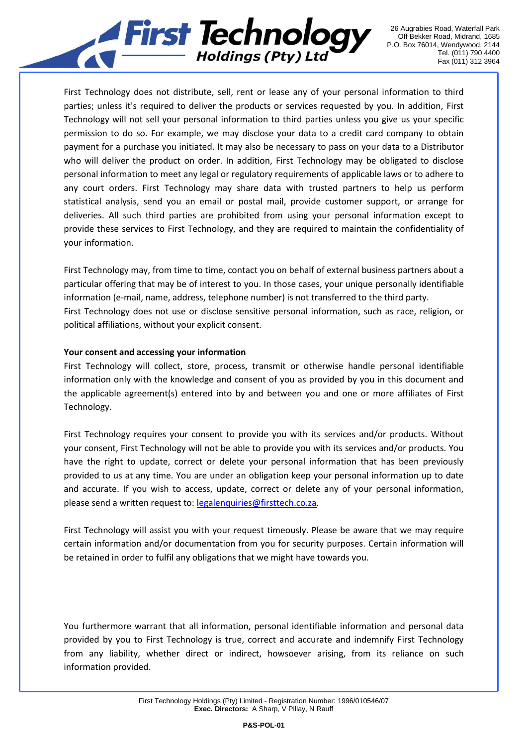

First Technology does not distribute, sell, rent or lease any of your personal information to third parties; unless it's required to deliver the products or services requested by you. In addition, First Technology will not sell your personal information to third parties unless you give us your specific permission to do so. For example, we may disclose your data to a credit card company to obtain payment for a purchase you initiated. It may also be necessary to pass on your data to a Distributor who will deliver the product on order. In addition, First Technology may be obligated to disclose personal information to meet any legal or regulatory requirements of applicable laws or to adhere to any court orders. First Technology may share data with trusted partners to help us perform statistical analysis, send you an email or postal mail, provide customer support, or arrange for deliveries. All such third parties are prohibited from using your personal information except to provide these services to First Technology, and they are required to maintain the confidentiality of your information.

First Technology may, from time to time, contact you on behalf of external business partners about a particular offering that may be of interest to you. In those cases, your unique personally identifiable information (e-mail, name, address, telephone number) is not transferred to the third party. First Technology does not use or disclose sensitive personal information, such as race, religion, or political affiliations, without your explicit consent.

#### **Your consent and accessing your information**

First Technology will collect, store, process, transmit or otherwise handle personal identifiable information only with the knowledge and consent of you as provided by you in this document and the applicable agreement(s) entered into by and between you and one or more affiliates of First Technology.

First Technology requires your consent to provide you with its services and/or products. Without your consent, First Technology will not be able to provide you with its services and/or products. You have the right to update, correct or delete your personal information that has been previously provided to us at any time. You are under an obligation keep your personal information up to date and accurate. If you wish to access, update, correct or delete any of your personal information, please send a written request to: [legalenquiries@firsttech.co.za.](mailto:legalenquiries@firsttech.co.za)

First Technology will assist you with your request timeously. Please be aware that we may require certain information and/or documentation from you for security purposes. Certain information will be retained in order to fulfil any obligations that we might have towards you.

You furthermore warrant that all information, personal identifiable information and personal data provided by you to First Technology is true, correct and accurate and indemnify First Technology from any liability, whether direct or indirect, howsoever arising, from its reliance on such information provided.